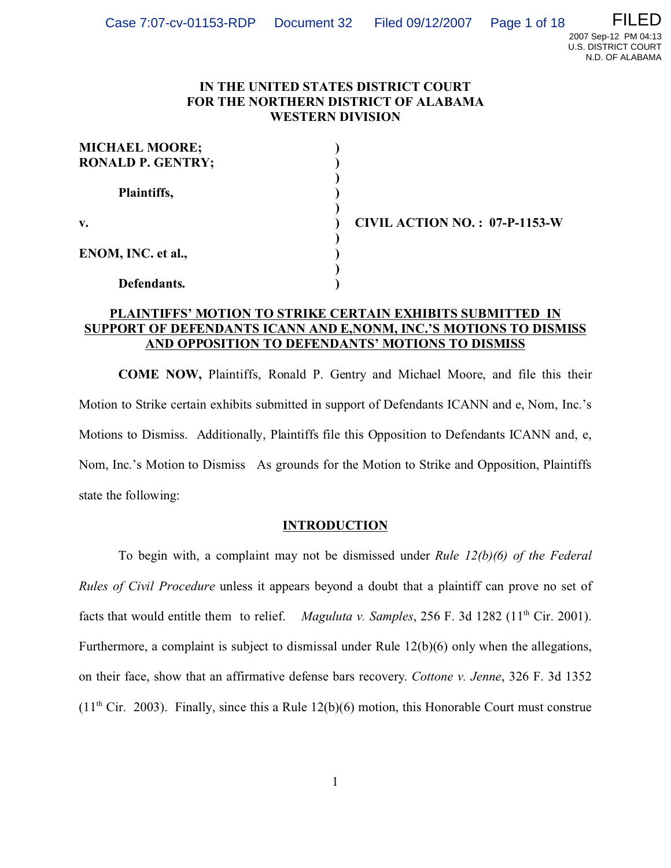## **IN THE UNITED STATES DISTRICT COURT FOR THE NORTHERN DISTRICT OF ALABAMA WESTERN DIVISION**

| <b>MICHAEL MOORE;</b><br><b>RONALD P. GENTRY;</b> |  |
|---------------------------------------------------|--|
| Plaintiffs,                                       |  |
| v.                                                |  |
| ENOM, INC. et al.,                                |  |
| Defendants.                                       |  |

**v. ) CIVIL ACTION NO. : 07-P-1153-W**

# **PLAINTIFFS' MOTION TO STRIKE CERTAIN EXHIBITS SUBMITTED IN SUPPORT OF DEFENDANTS ICANN AND E,NONM, INC.'S MOTIONS TO DISMISS AND OPPOSITION TO DEFENDANTS' MOTIONS TO DISMISS**

**COME NOW,** Plaintiffs, Ronald P. Gentry and Michael Moore, and file this their Motion to Strike certain exhibits submitted in support of Defendants ICANN and e, Nom, Inc.'s Motions to Dismiss. Additionally, Plaintiffs file this Opposition to Defendants ICANN and, e, Nom, Inc.'s Motion to Dismiss As grounds for the Motion to Strike and Opposition, Plaintiffs state the following:

# **INTRODUCTION**

To begin with, a complaint may not be dismissed under *Rule 12(b)(6) of the Federal Rules of Civil Procedure* unless it appears beyond a doubt that a plaintiff can prove no set of facts that would entitle them to relief. *Maguluta v. Samples*, 256 F. 3d 1282 (11<sup>th</sup> Cir. 2001). Furthermore, a complaint is subject to dismissal under Rule 12(b)(6) only when the allegations, on their face, show that an affirmative defense bars recovery. *Cottone v. Jenne*, 326 F. 3d 1352  $(11<sup>th</sup> Cir. 2003)$ . Finally, since this a Rule 12(b)(6) motion, this Honorable Court must construe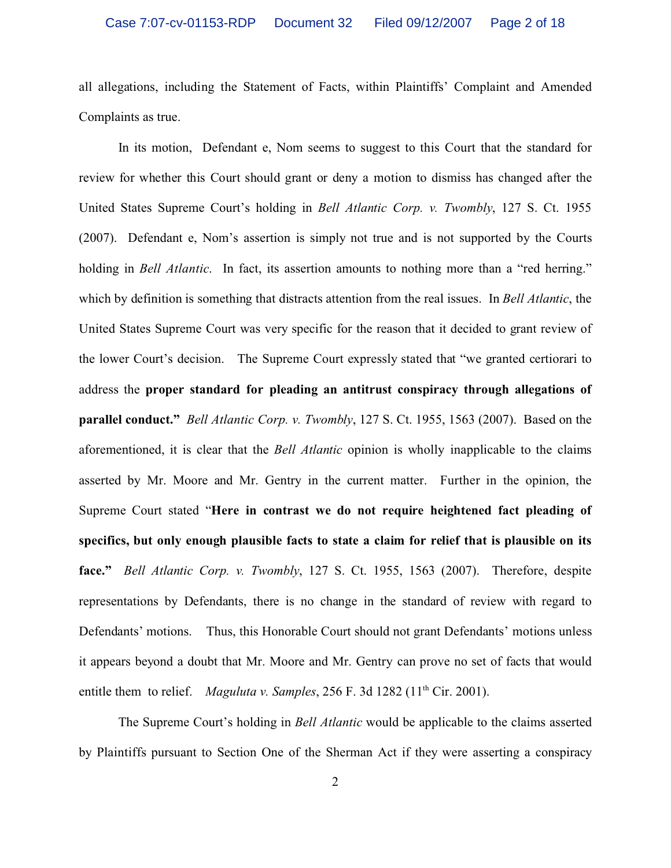all allegations, including the Statement of Facts, within Plaintiffs' Complaint and Amended Complaints as true.

In its motion, Defendant e, Nom seems to suggest to this Court that the standard for review for whether this Court should grant or deny a motion to dismiss has changed after the United States Supreme Court's holding in *Bell Atlantic Corp. v. Twombly*, 127 S. Ct. 1955 (2007). Defendant e, Nom's assertion is simply not true and is not supported by the Courts holding in *Bell Atlantic*. In fact, its assertion amounts to nothing more than a "red herring." which by definition is something that distracts attention from the real issues. In *Bell Atlantic*, the United States Supreme Court was very specific for the reason that it decided to grant review of the lower Court's decision. The Supreme Court expressly stated that "we granted certiorari to address the **proper standard for pleading an antitrust conspiracy through allegations of parallel conduct."** *Bell Atlantic Corp. v. Twombly*, 127 S. Ct. 1955, 1563 (2007). Based on the aforementioned, it is clear that the *Bell Atlantic* opinion is wholly inapplicable to the claims asserted by Mr. Moore and Mr. Gentry in the current matter. Further in the opinion, the Supreme Court stated "**Here in contrast we do not require heightened fact pleading of specifics, but only enough plausible facts to state a claim for relief that is plausible on its face."** *Bell Atlantic Corp. v. Twombly*, 127 S. Ct. 1955, 1563 (2007). Therefore, despite representations by Defendants, there is no change in the standard of review with regard to Defendants' motions. Thus, this Honorable Court should not grant Defendants' motions unless it appears beyond a doubt that Mr. Moore and Mr. Gentry can prove no set of facts that would entitle them to relief. *Maguluta v. Samples*,  $256$  F. 3d  $1282$  ( $11<sup>th</sup>$  Cir. 2001).

The Supreme Court's holding in *Bell Atlantic* would be applicable to the claims asserted by Plaintiffs pursuant to Section One of the Sherman Act if they were asserting a conspiracy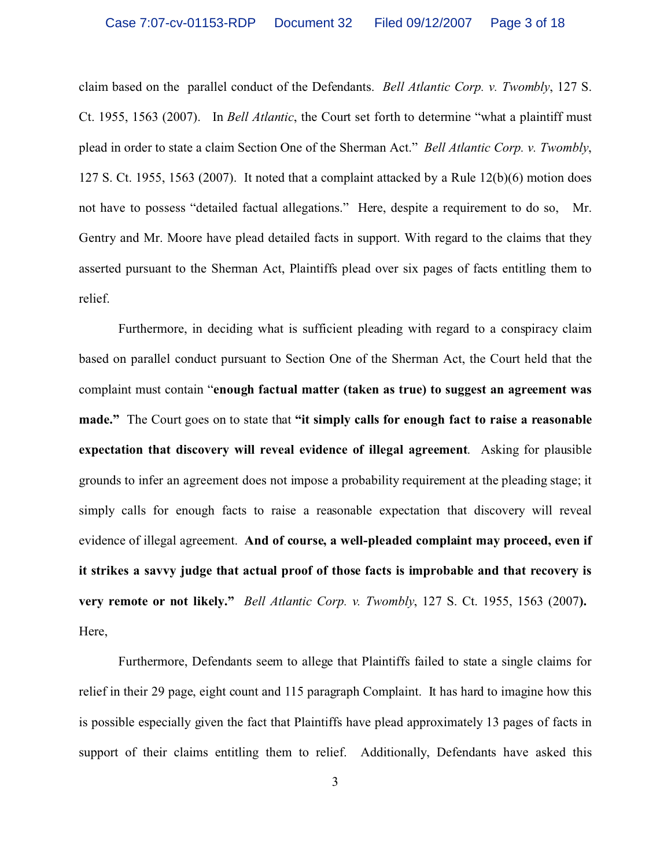claim based on the parallel conduct of the Defendants. *Bell Atlantic Corp. v. Twombly*, 127 S. Ct. 1955, 1563 (2007). In *Bell Atlantic*, the Court set forth to determine "what a plaintiff must plead in order to state a claim Section One of the Sherman Act." *Bell Atlantic Corp. v. Twombly*, 127 S. Ct. 1955, 1563 (2007). It noted that a complaint attacked by a Rule 12(b)(6) motion does not have to possess "detailed factual allegations." Here, despite a requirement to do so, Mr. Gentry and Mr. Moore have plead detailed facts in support. With regard to the claims that they asserted pursuant to the Sherman Act, Plaintiffs plead over six pages of facts entitling them to relief.

Furthermore, in deciding what is sufficient pleading with regard to a conspiracy claim based on parallel conduct pursuant to Section One of the Sherman Act, the Court held that the complaint must contain "**enough factual matter (taken as true) to suggest an agreement was made."** The Court goes on to state that **"it simply calls for enough fact to raise a reasonable expectation that discovery will reveal evidence of illegal agreement**. Asking for plausible grounds to infer an agreement does not impose a probability requirement at the pleading stage; it simply calls for enough facts to raise a reasonable expectation that discovery will reveal evidence of illegal agreement. **And of course, a well-pleaded complaint may proceed, even if it strikes a savvy judge that actual proof of those facts is improbable and that recovery is very remote or not likely."** *Bell Atlantic Corp. v. Twombly*, 127 S. Ct. 1955, 1563 (2007**).**  Here,

Furthermore, Defendants seem to allege that Plaintiffs failed to state a single claims for relief in their 29 page, eight count and 115 paragraph Complaint. It has hard to imagine how this is possible especially given the fact that Plaintiffs have plead approximately 13 pages of facts in support of their claims entitling them to relief. Additionally, Defendants have asked this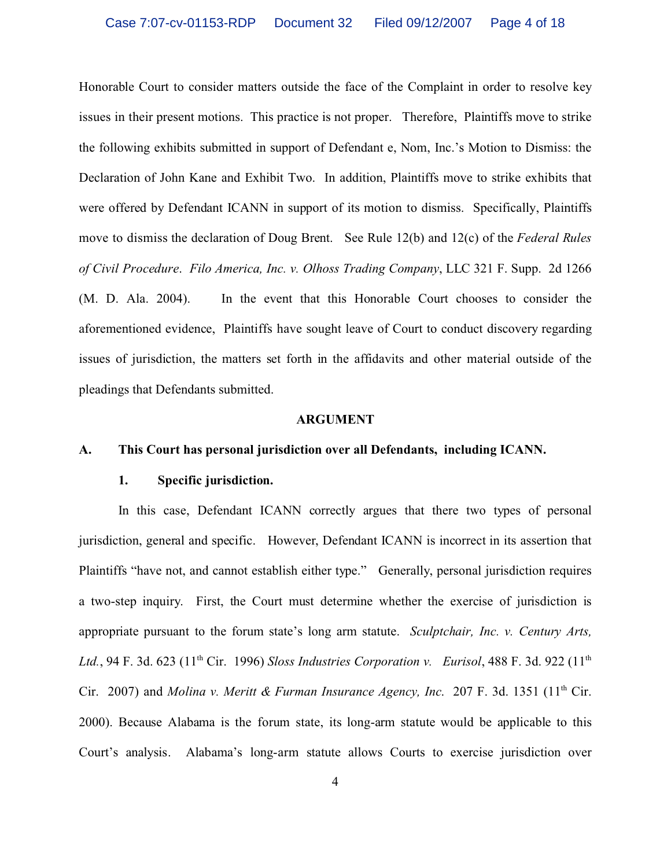Honorable Court to consider matters outside the face of the Complaint in order to resolve key issues in their present motions. This practice is not proper. Therefore, Plaintiffs move to strike the following exhibits submitted in support of Defendant e, Nom, Inc.'s Motion to Dismiss: the Declaration of John Kane and Exhibit Two. In addition, Plaintiffs move to strike exhibits that were offered by Defendant ICANN in support of its motion to dismiss. Specifically, Plaintiffs move to dismiss the declaration of Doug Brent. See Rule 12(b) and 12(c) of the *Federal Rules of Civil Procedure*. *Filo America, Inc. v. Olhoss Trading Company*, LLC 321 F. Supp. 2d 1266 (M. D. Ala. 2004). In the event that this Honorable Court chooses to consider the aforementioned evidence, Plaintiffs have sought leave of Court to conduct discovery regarding issues of jurisdiction, the matters set forth in the affidavits and other material outside of the pleadings that Defendants submitted.

#### **ARGUMENT**

### **A. This Court has personal jurisdiction over all Defendants, including ICANN.**

### **1. Specific jurisdiction.**

In this case, Defendant ICANN correctly argues that there two types of personal jurisdiction, general and specific. However, Defendant ICANN is incorrect in its assertion that Plaintiffs "have not, and cannot establish either type." Generally, personal jurisdiction requires a two-step inquiry. First, the Court must determine whether the exercise of jurisdiction is appropriate pursuant to the forum state's long arm statute. *Sculptchair, Inc. v. Century Arts,* Ltd., 94 F. 3d. 623 (11<sup>th</sup> Cir. 1996) *Sloss Industries Corporation v. Eurisol*, 488 F. 3d. 922 (11<sup>th</sup> Cir. 2007) and *Molina v. Meritt & Furman Insurance Agency, Inc.* 207 F. 3d. 1351 (11<sup>th</sup> Cir. 2000). Because Alabama is the forum state, its long-arm statute would be applicable to this Court's analysis. Alabama's long-arm statute allows Courts to exercise jurisdiction over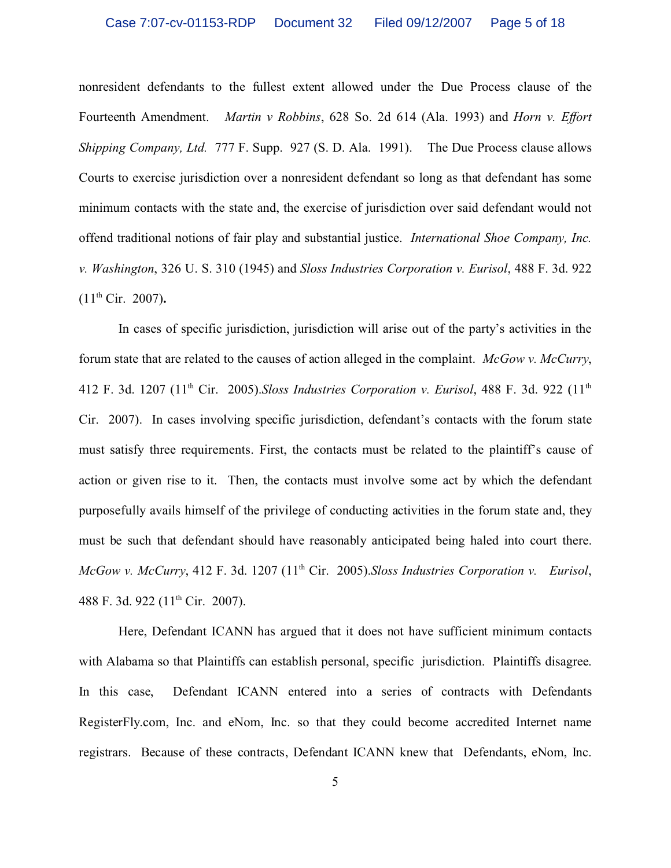nonresident defendants to the fullest extent allowed under the Due Process clause of the Fourteenth Amendment. *Martin v Robbins*, 628 So. 2d 614 (Ala. 1993) and *Horn v. Effort Shipping Company, Ltd.* 777 F. Supp. 927 (S. D. Ala. 1991). The Due Process clause allows Courts to exercise jurisdiction over a nonresident defendant so long as that defendant has some minimum contacts with the state and, the exercise of jurisdiction over said defendant would not offend traditional notions of fair play and substantial justice. *International Shoe Company, Inc. v. Washington*, 326 U. S. 310 (1945) and *Sloss Industries Corporation v. Eurisol*, 488 F. 3d. 922 (11th Cir. 2007)**.**

In cases of specific jurisdiction, jurisdiction will arise out of the party's activities in the forum state that are related to the causes of action alleged in the complaint. *McGow v. McCurry*, 412 F. 3d. 1207 (11th Cir. 2005).*Sloss Industries Corporation v. Eurisol*, 488 F. 3d. 922 (11th Cir. 2007). In cases involving specific jurisdiction, defendant's contacts with the forum state must satisfy three requirements. First, the contacts must be related to the plaintiff's cause of action or given rise to it. Then, the contacts must involve some act by which the defendant purposefully avails himself of the privilege of conducting activities in the forum state and, they must be such that defendant should have reasonably anticipated being haled into court there. *McGow v. McCurry*, 412 F. 3d. 1207 (11<sup>th</sup> Cir. 2005).*Sloss Industries Corporation v. Eurisol*, 488 F. 3d. 922 (11<sup>th</sup> Cir. 2007).

Here, Defendant ICANN has argued that it does not have sufficient minimum contacts with Alabama so that Plaintiffs can establish personal, specific jurisdiction. Plaintiffs disagree. In this case, Defendant ICANN entered into a series of contracts with Defendants RegisterFly.com, Inc. and eNom, Inc. so that they could become accredited Internet name registrars. Because of these contracts, Defendant ICANN knew that Defendants, eNom, Inc.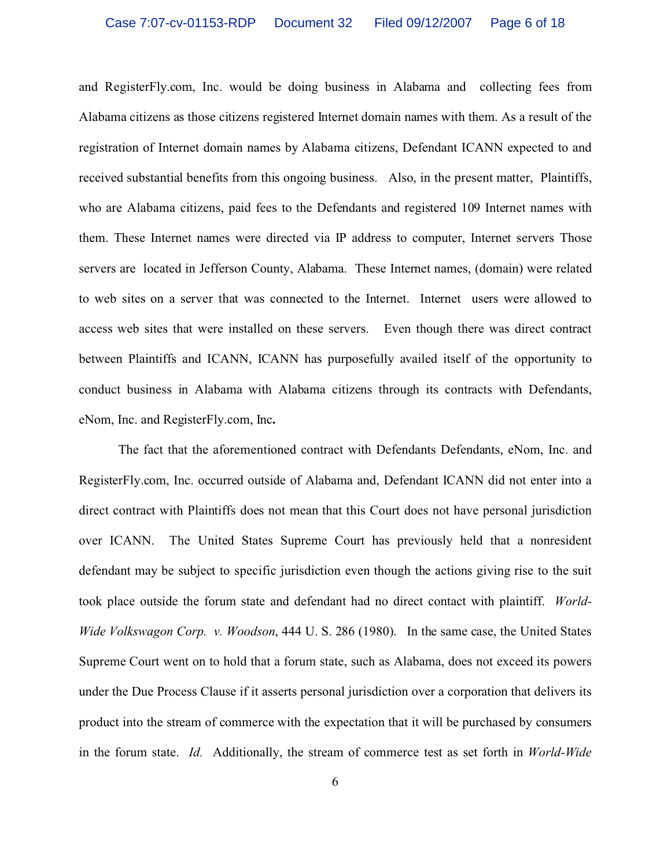and RegisterFly.com, Inc. would be doing business in Alabama and collecting fees from Alabama citizens as those citizens registered Internet domain names with them. As a result of the registration of Internet domain names by Alabama citizens, Defendant ICANN expected to and received substantial benefits from this ongoing business. Also, in the present matter, Plaintiffs, who are Alabama citizens, paid fees to the Defendants and registered 109 Internet names with them. These Internet names were directed via IP address to computer, Internet servers Those servers are located in Jefferson County, Alabama. These Internet names, (domain) were related to web sites on a server that was connected to the Internet. Internet users were allowed to access web sites that were installed on these servers. Even though there was direct contract between Plaintiffs and ICANN, ICANN has purposefully availed itself of the opportunity to conduct business in Alabama with Alabama citizens through its contracts with Defendants, eNom, Inc. and RegisterFly.com, Inc**.** 

The fact that the aforementioned contract with Defendants Defendants, eNom, Inc. and RegisterFly.com, Inc. occurred outside of Alabama and, Defendant ICANN did not enter into a direct contract with Plaintiffs does not mean that this Court does not have personal jurisdiction over ICANN. The United States Supreme Court has previously held that a nonresident defendant may be subject to specific jurisdiction even though the actions giving rise to the suit took place outside the forum state and defendant had no direct contact with plaintiff. *World-Wide Volkswagon Corp. v. Woodson*, 444 U. S. 286 (1980). In the same case, the United States Supreme Court went on to hold that a forum state, such as Alabama, does not exceed its powers under the Due Process Clause if it asserts personal jurisdiction over a corporation that delivers its product into the stream of commerce with the expectation that it will be purchased by consumers in the forum state. *Id.*Additionally, the stream of commerce test as set forth in *World-Wide*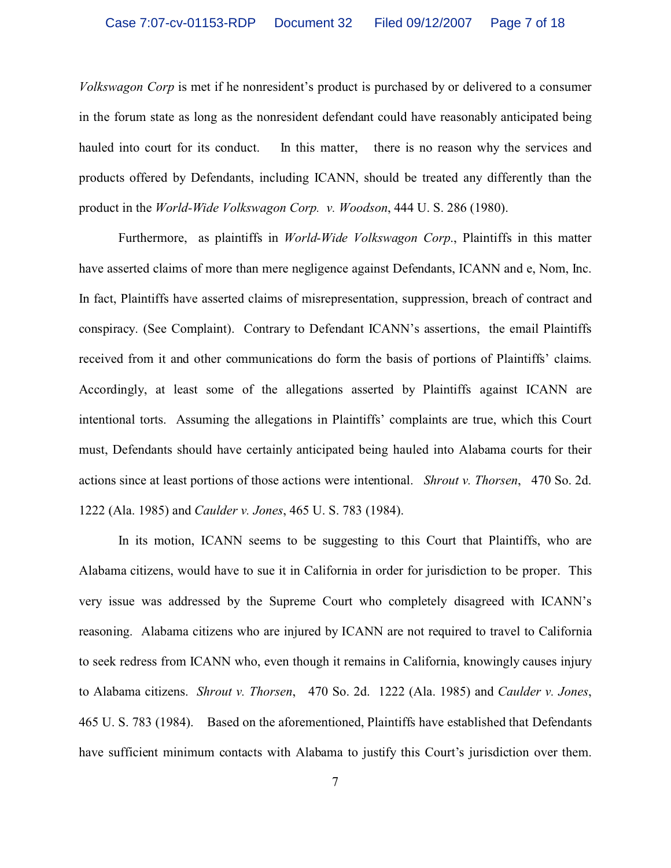*Volkswagon Corp* is met if he nonresident's product is purchased by or delivered to a consumer in the forum state as long as the nonresident defendant could have reasonably anticipated being hauled into court for its conduct. In this matter, there is no reason why the services and products offered by Defendants, including ICANN, should be treated any differently than the product in the *World-Wide Volkswagon Corp. v. Woodson*, 444 U. S. 286 (1980).

Furthermore, as plaintiffs in *World-Wide Volkswagon Corp*., Plaintiffs in this matter have asserted claims of more than mere negligence against Defendants, ICANN and e, Nom, Inc. In fact, Plaintiffs have asserted claims of misrepresentation, suppression, breach of contract and conspiracy. (See Complaint). Contrary to Defendant ICANN's assertions, the email Plaintiffs received from it and other communications do form the basis of portions of Plaintiffs' claims. Accordingly, at least some of the allegations asserted by Plaintiffs against ICANN are intentional torts. Assuming the allegations in Plaintiffs' complaints are true, which this Court must, Defendants should have certainly anticipated being hauled into Alabama courts for their actions since at least portions of those actions were intentional. *Shrout v. Thorsen*, 470 So. 2d. 1222 (Ala. 1985) and *Caulder v. Jones*, 465 U. S. 783 (1984).

In its motion, ICANN seems to be suggesting to this Court that Plaintiffs, who are Alabama citizens, would have to sue it in California in order for jurisdiction to be proper. This very issue was addressed by the Supreme Court who completely disagreed with ICANN's reasoning. Alabama citizens who are injured by ICANN are not required to travel to California to seek redress from ICANN who, even though it remains in California, knowingly causes injury to Alabama citizens. *Shrout v. Thorsen*, 470 So. 2d. 1222 (Ala. 1985) and *Caulder v. Jones*, 465 U. S. 783 (1984). Based on the aforementioned, Plaintiffs have established that Defendants have sufficient minimum contacts with Alabama to justify this Court's jurisdiction over them.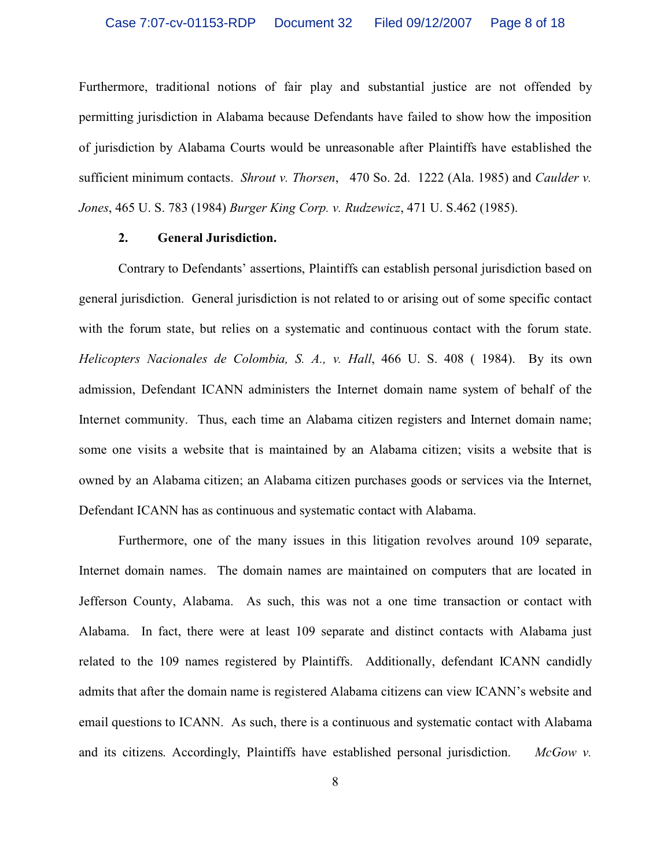Furthermore, traditional notions of fair play and substantial justice are not offended by permitting jurisdiction in Alabama because Defendants have failed to show how the imposition of jurisdiction by Alabama Courts would be unreasonable after Plaintiffs have established the sufficient minimum contacts. *Shrout v. Thorsen*, 470 So. 2d. 1222 (Ala. 1985) and *Caulder v. Jones*, 465 U. S. 783 (1984) *Burger King Corp. v. Rudzewicz*, 471 U. S.462 (1985).

### **2. General Jurisdiction.**

Contrary to Defendants' assertions, Plaintiffs can establish personal jurisdiction based on general jurisdiction. General jurisdiction is not related to or arising out of some specific contact with the forum state, but relies on a systematic and continuous contact with the forum state. *Helicopters Nacionales de Colombia, S. A., v. Hall*, 466 U. S. 408 ( 1984). By its own admission, Defendant ICANN administers the Internet domain name system of behalf of the Internet community. Thus, each time an Alabama citizen registers and Internet domain name; some one visits a website that is maintained by an Alabama citizen; visits a website that is owned by an Alabama citizen; an Alabama citizen purchases goods or services via the Internet, Defendant ICANN has as continuous and systematic contact with Alabama.

Furthermore, one of the many issues in this litigation revolves around 109 separate, Internet domain names. The domain names are maintained on computers that are located in Jefferson County, Alabama. As such, this was not a one time transaction or contact with Alabama. In fact, there were at least 109 separate and distinct contacts with Alabama just related to the 109 names registered by Plaintiffs. Additionally, defendant ICANN candidly admits that after the domain name is registered Alabama citizens can view ICANN's website and email questions to ICANN. As such, there is a continuous and systematic contact with Alabama and its citizens. Accordingly, Plaintiffs have established personal jurisdiction. *McGow v.*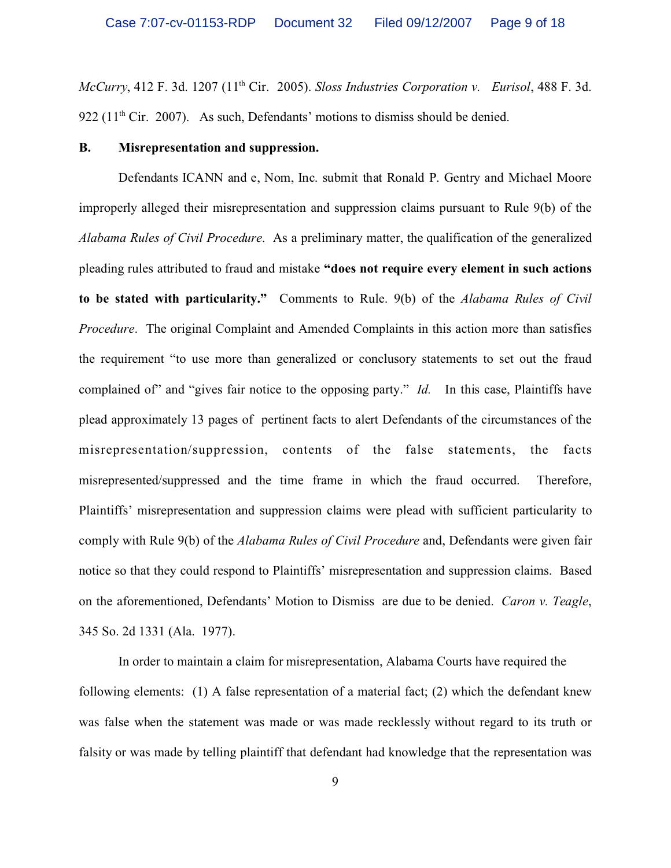*McCurry*, 412 F. 3d. 1207 (11th Cir. 2005). *Sloss Industries Corporation v. Eurisol*, 488 F. 3d. 922 ( $11<sup>th</sup>$  Cir. 2007). As such, Defendants' motions to dismiss should be denied.

### **B. Misrepresentation and suppression.**

Defendants ICANN and e, Nom, Inc. submit that Ronald P. Gentry and Michael Moore improperly alleged their misrepresentation and suppression claims pursuant to Rule 9(b) of the *Alabama Rules of Civil Procedure*. As a preliminary matter, the qualification of the generalized pleading rules attributed to fraud and mistake **"does not require every element in such actions to be stated with particularity."** Comments to Rule. 9(b) of the *Alabama Rules of Civil Procedure*. The original Complaint and Amended Complaints in this action more than satisfies the requirement "to use more than generalized or conclusory statements to set out the fraud complained of" and "gives fair notice to the opposing party." *Id.* In this case, Plaintiffs have plead approximately 13 pages of pertinent facts to alert Defendants of the circumstances of the misrepresentation/suppression, contents of the false statements, the facts misrepresented/suppressed and the time frame in which the fraud occurred. Therefore, Plaintiffs' misrepresentation and suppression claims were plead with sufficient particularity to comply with Rule 9(b) of the *Alabama Rules of Civil Procedure* and, Defendants were given fair notice so that they could respond to Plaintiffs' misrepresentation and suppression claims. Based on the aforementioned, Defendants' Motion to Dismiss are due to be denied. *Caron v. Teagle*, 345 So. 2d 1331 (Ala. 1977).

In order to maintain a claim for misrepresentation, Alabama Courts have required the following elements: (1) A false representation of a material fact; (2) which the defendant knew was false when the statement was made or was made recklessly without regard to its truth or falsity or was made by telling plaintiff that defendant had knowledge that the representation was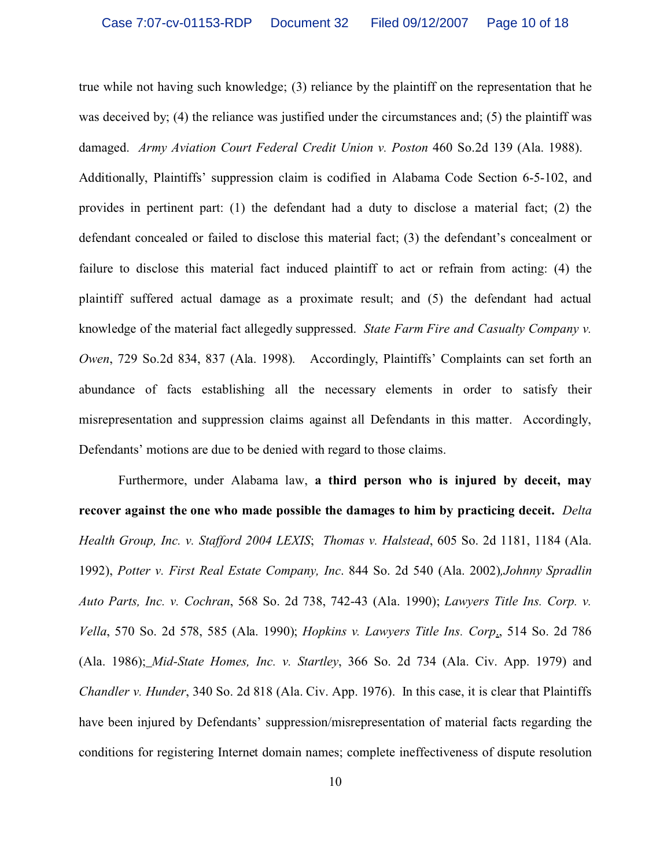true while not having such knowledge; (3) reliance by the plaintiff on the representation that he was deceived by; (4) the reliance was justified under the circumstances and; (5) the plaintiff was damaged. *Army Aviation Court Federal Credit Union v. Poston* 460 So.2d 139 (Ala. 1988).

Additionally, Plaintiffs' suppression claim is codified in Alabama Code Section 6-5-102, and provides in pertinent part: (1) the defendant had a duty to disclose a material fact; (2) the defendant concealed or failed to disclose this material fact; (3) the defendant's concealment or failure to disclose this material fact induced plaintiff to act or refrain from acting: (4) the plaintiff suffered actual damage as a proximate result; and (5) the defendant had actual knowledge of the material fact allegedly suppressed. *State Farm Fire and Casualty Company v. Owen*, 729 So.2d 834, 837 (Ala. 1998). Accordingly, Plaintiffs' Complaints can set forth an abundance of facts establishing all the necessary elements in order to satisfy their misrepresentation and suppression claims against all Defendants in this matter. Accordingly, Defendants' motions are due to be denied with regard to those claims.

Furthermore, under Alabama law, **a third person who is injured by deceit, may recover against the one who made possible the damages to him by practicing deceit.** *Delta Health Group, Inc. v. Stafford 2004 LEXIS*; *Thomas v. Halstead*, 605 So. 2d 1181, 1184 (Ala. 1992), *Potter v. First Real Estate Company, Inc*. 844 So. 2d 540 (Ala. 2002)*,Johnny Spradlin Auto Parts, Inc. v. Cochran*, 568 So. 2d 738, 742-43 (Ala. 1990); *Lawyers Title Ins. Corp. v. Vella*, 570 So. 2d 578, 585 (Ala. 1990); *Hopkins v. Lawyers Title Ins. Corp*., 514 So. 2d 786 (Ala. 1986); *Mid-State Homes, Inc. v. Startley*, 366 So. 2d 734 (Ala. Civ. App. 1979) and *Chandler v. Hunder*, 340 So. 2d 818 (Ala. Civ. App. 1976). In this case, it is clear that Plaintiffs have been injured by Defendants' suppression/misrepresentation of material facts regarding the conditions for registering Internet domain names; complete ineffectiveness of dispute resolution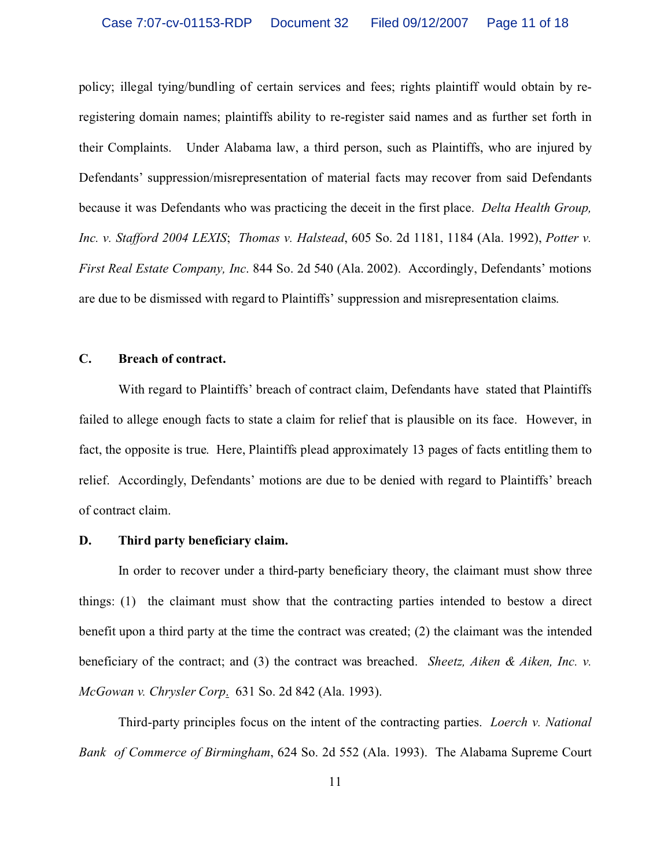policy; illegal tying/bundling of certain services and fees; rights plaintiff would obtain by reregistering domain names; plaintiffs ability to re-register said names and as further set forth in their Complaints. Under Alabama law, a third person, such as Plaintiffs, who are injured by Defendants' suppression/misrepresentation of material facts may recover from said Defendants because it was Defendants who was practicing the deceit in the first place. *Delta Health Group, Inc. v. Stafford 2004 LEXIS*; *Thomas v. Halstead*, 605 So. 2d 1181, 1184 (Ala. 1992), *Potter v. First Real Estate Company, Inc*. 844 So. 2d 540 (Ala. 2002). Accordingly, Defendants' motions are due to be dismissed with regard to Plaintiffs' suppression and misrepresentation claims.

## **C. Breach of contract.**

With regard to Plaintiffs' breach of contract claim, Defendants have stated that Plaintiffs failed to allege enough facts to state a claim for relief that is plausible on its face. However, in fact, the opposite is true. Here, Plaintiffs plead approximately 13 pages of facts entitling them to relief. Accordingly, Defendants' motions are due to be denied with regard to Plaintiffs' breach of contract claim.

### **D. Third party beneficiary claim.**

In order to recover under a third-party beneficiary theory, the claimant must show three things: (1) the claimant must show that the contracting parties intended to bestow a direct benefit upon a third party at the time the contract was created; (2) the claimant was the intended beneficiary of the contract; and (3) the contract was breached. *Sheetz, Aiken & Aiken, Inc. v. McGowan v. Chrysler Corp*. 631 So. 2d 842 (Ala. 1993).

Third-party principles focus on the intent of the contracting parties. *Loerch v. National Bank of Commerce of Birmingham*, 624 So. 2d 552 (Ala. 1993). The Alabama Supreme Court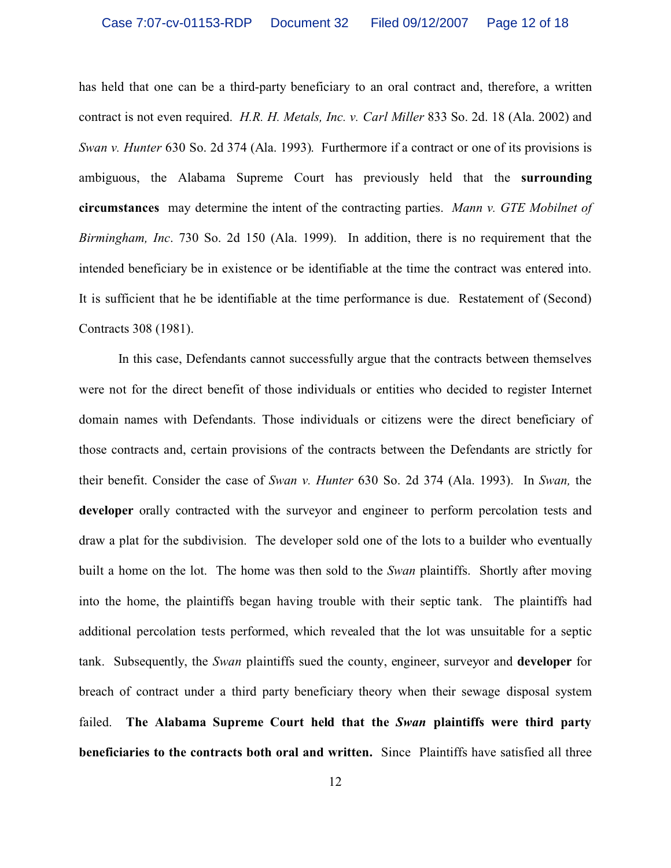has held that one can be a third-party beneficiary to an oral contract and, therefore, a written contract is not even required. *H.R. H. Metals, Inc. v. Carl Miller* 833 So. 2d. 18 (Ala. 2002) and *Swan v. Hunter* 630 So. 2d 374 (Ala. 1993). Furthermore if a contract or one of its provisions is ambiguous, the Alabama Supreme Court has previously held that the **surrounding circumstances** may determine the intent of the contracting parties. *Mann v. GTE Mobilnet of Birmingham, Inc*. 730 So. 2d 150 (Ala. 1999).In addition, there is no requirement that the intended beneficiary be in existence or be identifiable at the time the contract was entered into. It is sufficient that he be identifiable at the time performance is due. Restatement of (Second) Contracts 308 (1981).

In this case, Defendants cannot successfully argue that the contracts between themselves were not for the direct benefit of those individuals or entities who decided to register Internet domain names with Defendants. Those individuals or citizens were the direct beneficiary of those contracts and, certain provisions of the contracts between the Defendants are strictly for their benefit. Consider the case of *Swan v. Hunter* 630 So. 2d 374 (Ala. 1993). In *Swan,* the **developer** orally contracted with the surveyor and engineer to perform percolation tests and draw a plat for the subdivision. The developer sold one of the lots to a builder who eventually built a home on the lot. The home was then sold to the *Swan* plaintiffs. Shortly after moving into the home, the plaintiffs began having trouble with their septic tank. The plaintiffs had additional percolation tests performed, which revealed that the lot was unsuitable for a septic tank. Subsequently, the *Swan* plaintiffs sued the county, engineer, surveyor and **developer** for breach of contract under a third party beneficiary theory when their sewage disposal system failed. **The Alabama Supreme Court held that the** *Swan* **plaintiffs were third party beneficiaries to the contracts both oral and written.** Since Plaintiffs have satisfied all three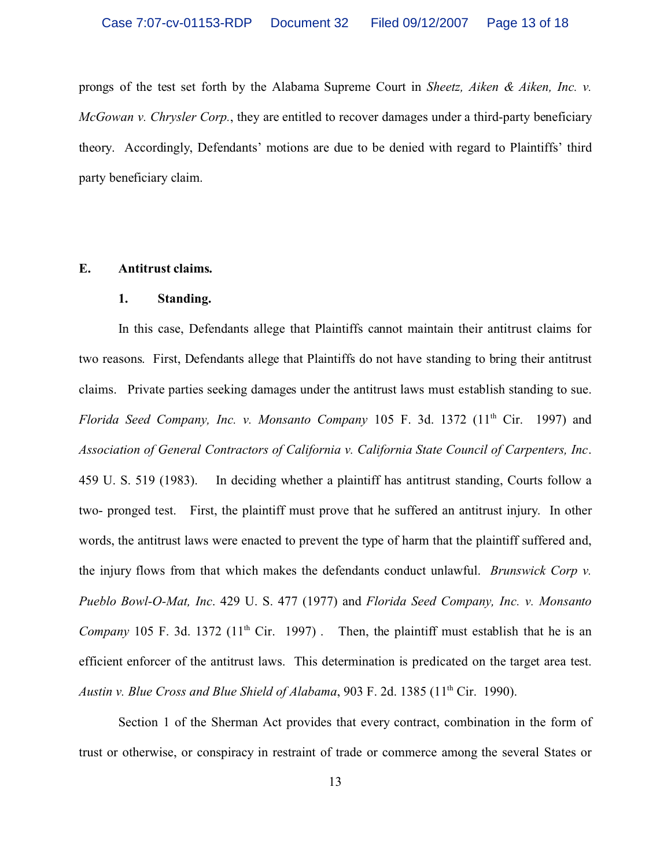prongs of the test set forth by the Alabama Supreme Court in *Sheetz, Aiken & Aiken, Inc. v. McGowan v. Chrysler Corp.*, they are entitled to recover damages under a third-party beneficiary theory. Accordingly, Defendants' motions are due to be denied with regard to Plaintiffs' third party beneficiary claim.

### **E. Antitrust claims.**

#### **1. Standing.**

In this case, Defendants allege that Plaintiffs cannot maintain their antitrust claims for two reasons. First, Defendants allege that Plaintiffs do not have standing to bring their antitrust claims. Private parties seeking damages under the antitrust laws must establish standing to sue. *Florida Seed Company, Inc. v. Monsanto Company* 105 F. 3d. 1372 (11<sup>th</sup> Cir. 1997) and *Association of General Contractors of California v. California State Council of Carpenters, Inc*. 459 U. S. 519 (1983). In deciding whether a plaintiff has antitrust standing, Courts follow a two- pronged test. First, the plaintiff must prove that he suffered an antitrust injury. In other words, the antitrust laws were enacted to prevent the type of harm that the plaintiff suffered and, the injury flows from that which makes the defendants conduct unlawful. *Brunswick Corp v. Pueblo Bowl-O-Mat, Inc*. 429 U. S. 477 (1977) and *Florida Seed Company, Inc. v. Monsanto Company* 105 F. 3d. 1372 ( $11<sup>th</sup>$  Cir. 1997). Then, the plaintiff must establish that he is an efficient enforcer of the antitrust laws. This determination is predicated on the target area test. *Austin v. Blue Cross and Blue Shield of Alabama*, 903 F. 2d. 1385 (11<sup>th</sup> Cir. 1990).

Section 1 of the Sherman Act provides that every contract, combination in the form of trust or otherwise, or conspiracy in restraint of trade or commerce among the several States or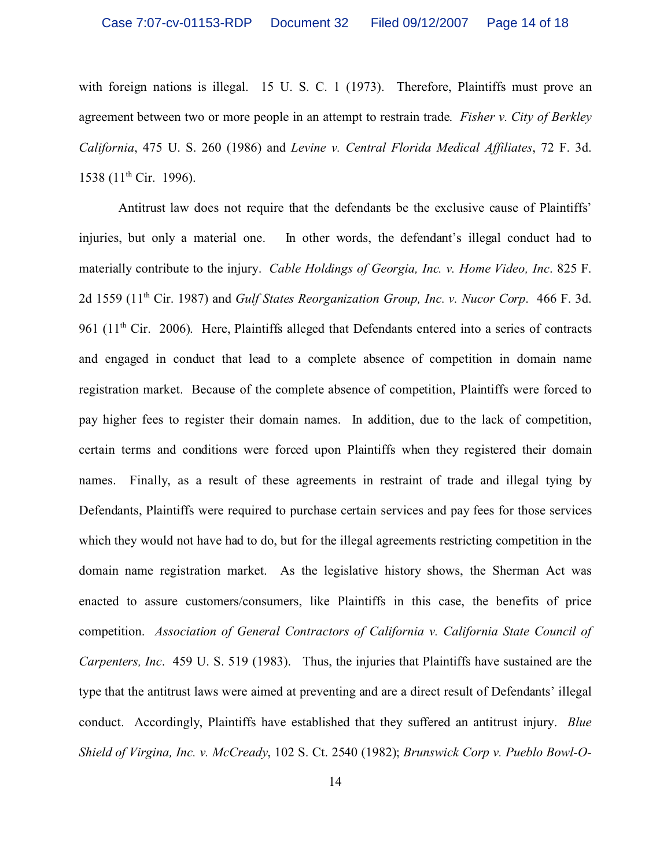with foreign nations is illegal. 15 U. S. C. 1 (1973). Therefore, Plaintiffs must prove an agreement between two or more people in an attempt to restrain trade. *Fisher v. City of Berkley California*, 475 U. S. 260 (1986) and *Levine v. Central Florida Medical Affiliates*, 72 F. 3d. 1538 (11<sup>th</sup> Cir. 1996).

Antitrust law does not require that the defendants be the exclusive cause of Plaintiffs' injuries, but only a material one. In other words, the defendant's illegal conduct had to materially contribute to the injury. *Cable Holdings of Georgia, Inc. v. Home Video, Inc*. 825 F. 2d 1559 (11th Cir. 1987) and *Gulf States Reorganization Group, Inc. v. Nucor Corp*. 466 F. 3d. 961 ( $11<sup>th</sup>$  Cir. 2006). Here, Plaintiffs alleged that Defendants entered into a series of contracts and engaged in conduct that lead to a complete absence of competition in domain name registration market. Because of the complete absence of competition, Plaintiffs were forced to pay higher fees to register their domain names. In addition, due to the lack of competition, certain terms and conditions were forced upon Plaintiffs when they registered their domain names. Finally, as a result of these agreements in restraint of trade and illegal tying by Defendants, Plaintiffs were required to purchase certain services and pay fees for those services which they would not have had to do, but for the illegal agreements restricting competition in the domain name registration market. As the legislative history shows, the Sherman Act was enacted to assure customers/consumers, like Plaintiffs in this case, the benefits of price competition. *Association of General Contractors of California v. California State Council of Carpenters, Inc*. 459 U. S. 519 (1983). Thus, the injuries that Plaintiffs have sustained are the type that the antitrust laws were aimed at preventing and are a direct result of Defendants' illegal conduct. Accordingly, Plaintiffs have established that they suffered an antitrust injury. *Blue Shield of Virgina, Inc. v. McCready*, 102 S. Ct. 2540 (1982); *Brunswick Corp v. Pueblo Bowl-O-*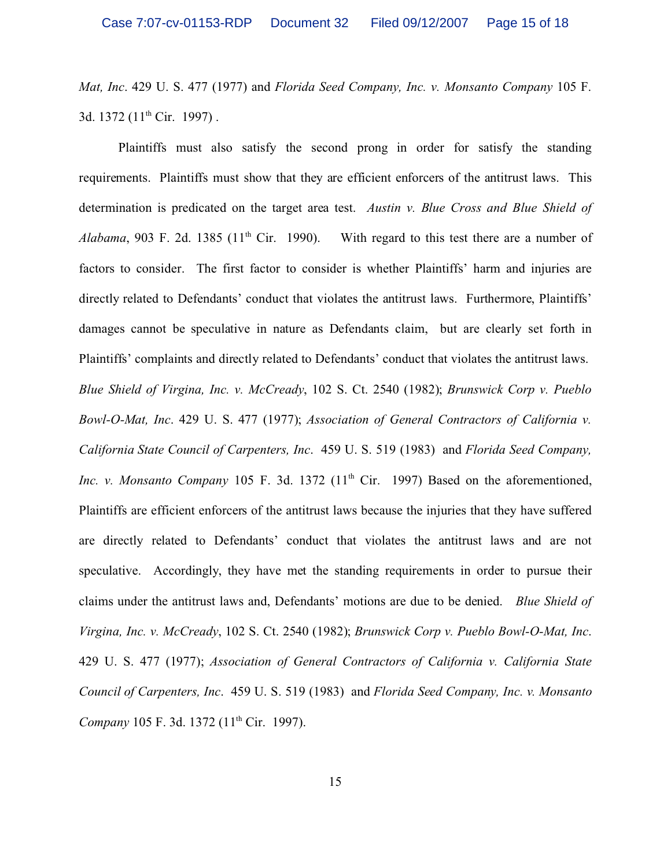*Mat, Inc*. 429 U. S. 477 (1977) and *Florida Seed Company, Inc. v. Monsanto Company* 105 F. 3d. 1372 (11<sup>th</sup> Cir. 1997).

Plaintiffs must also satisfy the second prong in order for satisfy the standing requirements. Plaintiffs must show that they are efficient enforcers of the antitrust laws. This determination is predicated on the target area test. *Austin v. Blue Cross and Blue Shield of* Alabama, 903 F. 2d. 1385 (11<sup>th</sup> Cir. 1990). With regard to this test there are a number of factors to consider. The first factor to consider is whether Plaintiffs' harm and injuries are directly related to Defendants' conduct that violates the antitrust laws. Furthermore, Plaintiffs' damages cannot be speculative in nature as Defendants claim, but are clearly set forth in Plaintiffs' complaints and directly related to Defendants' conduct that violates the antitrust laws. *Blue Shield of Virgina, Inc. v. McCready*, 102 S. Ct. 2540 (1982); *Brunswick Corp v. Pueblo Bowl-O-Mat, Inc*. 429 U. S. 477 (1977); *Association of General Contractors of California v. California State Council of Carpenters, Inc*. 459 U. S. 519 (1983) and *Florida Seed Company, Inc. v. Monsanto Company* 105 F. 3d. 1372 (11<sup>th</sup> Cir. 1997) Based on the aforementioned, Plaintiffs are efficient enforcers of the antitrust laws because the injuries that they have suffered are directly related to Defendants' conduct that violates the antitrust laws and are not speculative. Accordingly, they have met the standing requirements in order to pursue their claims under the antitrust laws and, Defendants' motions are due to be denied. *Blue Shield of Virgina, Inc. v. McCready*, 102 S. Ct. 2540 (1982); *Brunswick Corp v. Pueblo Bowl-O-Mat, Inc*. 429 U. S. 477 (1977); *Association of General Contractors of California v. California State Council of Carpenters, Inc*. 459 U. S. 519 (1983) and *Florida Seed Company, Inc. v. Monsanto Company* 105 F. 3d. 1372 (11<sup>th</sup> Cir. 1997).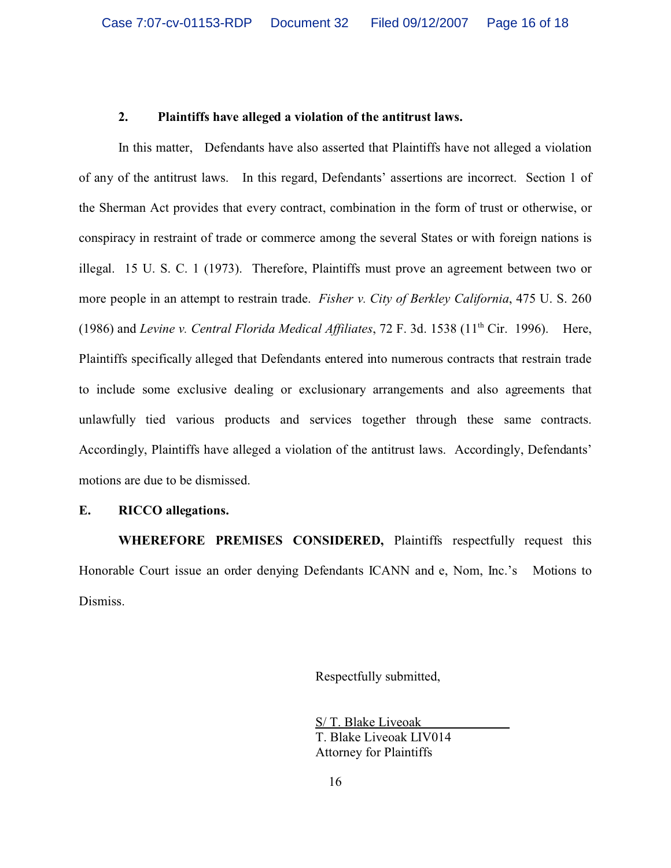# **2. Plaintiffs have alleged a violation of the antitrust laws.**

In this matter, Defendants have also asserted that Plaintiffs have not alleged a violation of any of the antitrust laws. In this regard, Defendants' assertions are incorrect. Section 1 of the Sherman Act provides that every contract, combination in the form of trust or otherwise, or conspiracy in restraint of trade or commerce among the several States or with foreign nations is illegal. 15 U. S. C. 1 (1973). Therefore, Plaintiffs must prove an agreement between two or more people in an attempt to restrain trade. *Fisher v. City of Berkley California*, 475 U. S. 260 (1986) and *Levine v. Central Florida Medical Affiliates*, 72 F. 3d. 1538 (11th Cir. 1996). Here, Plaintiffs specifically alleged that Defendants entered into numerous contracts that restrain trade to include some exclusive dealing or exclusionary arrangements and also agreements that unlawfully tied various products and services together through these same contracts. Accordingly, Plaintiffs have alleged a violation of the antitrust laws. Accordingly, Defendants' motions are due to be dismissed.

## **E. RICCO allegations.**

**WHEREFORE PREMISES CONSIDERED,** Plaintiffs respectfully request this Honorable Court issue an order denying Defendants ICANN and e, Nom, Inc.'s Motions to Dismiss.

Respectfully submitted,

S/ T. Blake Liveoak T. Blake Liveoak LIV014 Attorney for Plaintiffs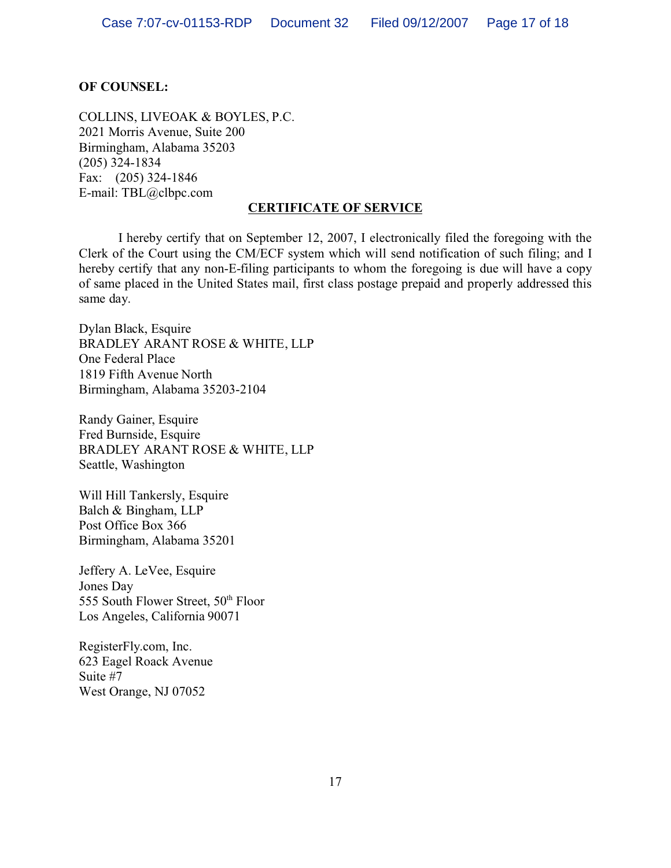# **OF COUNSEL:**

COLLINS, LIVEOAK & BOYLES, P.C. 2021 Morris Avenue, Suite 200 Birmingham, Alabama 35203 (205) 324-1834 Fax: (205) 324-1846 E-mail: TBL@clbpc.com

# **CERTIFICATE OF SERVICE**

I hereby certify that on September 12, 2007, I electronically filed the foregoing with the Clerk of the Court using the CM/ECF system which will send notification of such filing; and I hereby certify that any non-E-filing participants to whom the foregoing is due will have a copy of same placed in the United States mail, first class postage prepaid and properly addressed this same day.

Dylan Black, Esquire BRADLEY ARANT ROSE & WHITE, LLP One Federal Place 1819 Fifth Avenue North Birmingham, Alabama 35203-2104

Randy Gainer, Esquire Fred Burnside, Esquire BRADLEY ARANT ROSE & WHITE, LLP Seattle, Washington

Will Hill Tankersly, Esquire Balch & Bingham, LLP Post Office Box 366 Birmingham, Alabama 35201

Jeffery A. LeVee, Esquire Jones Day 555 South Flower Street, 50<sup>th</sup> Floor Los Angeles, California 90071

RegisterFly.com, Inc. 623 Eagel Roack Avenue Suite #7 West Orange, NJ 07052